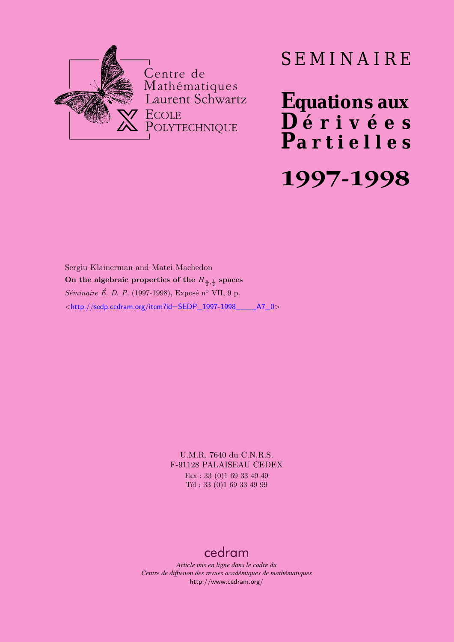

# SEMINAIRE

**Equations aux**  $\overline{\mathbf{D}}$  érivées **Partielles 1997-1998**

Sergiu Klainerman and Matei Machedon On the algebraic properties of the  $H_{\frac{n}{2},\frac{1}{2}}$  spaces *Séminaire É. D. P.* (1997-1998), Exposé n° VII, 9 p. <[http://sedp.cedram.org/item?id=SEDP\\_1997-1998\\_\\_\\_\\_A7\\_0](http://sedp.cedram.org/item?id=SEDP_1997-1998____A7_0)>

> U.M.R. 7640 du C.N.R.S. F-91128 PALAISEAU CEDEX Fax : 33 (0)1 69 33 49 49 Tél : 33 (0)1 69 33 49 99

### [cedram](http://www.cedram.org/)

*Article mis en ligne dans le cadre du Centre de diffusion des revues académiques de mathématiques* <http://www.cedram.org/>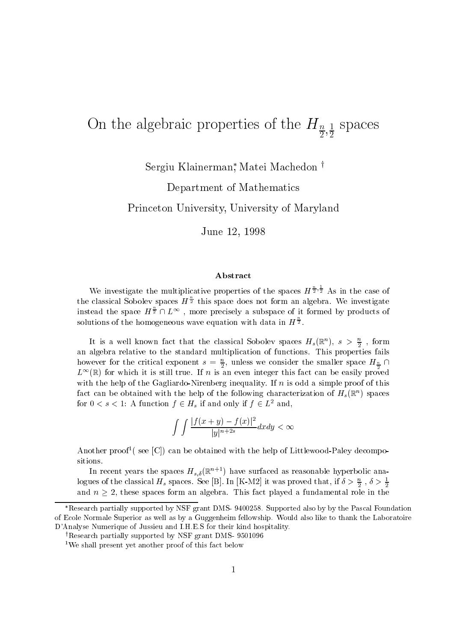## $\frac{1}{2}$ ,  $\frac{1}{2}$  is the algebraic properties of the Hn  $\frac{1}{2}$ ,  $\frac{1}{2}$  is properties

Sergiu Klainerman - Matei Machedon <sup>y</sup>

Department of Mathematics

. A A A A U UNIVERSITY OF MARY USUAL I USA A LA UNIVERSITY OF MARINE OF MARINE OF MARINE OF MARINE OF MARINE O

 $J$  , where  $J$  -  $J$  -  $J$  -  $J$  -  $J$  -  $J$  -  $J$  -  $J$  -  $J$  -  $J$  -  $J$  -  $J$  -  $J$  -  $J$  -  $J$  -  $J$  -  $J$  -  $J$  -  $J$  -  $J$  -  $J$  -  $J$  -  $J$  -  $J$  -  $J$  -  $J$  -  $J$  -  $J$  -  $J$  -  $J$  -  $J$  -  $J$  -  $J$  -  $J$  -  $J$  -

#### Abstract

We investigate the multiplicative properties of the spaces  $H^{\frac{1}{2},\frac{1}{2}}$  As in the case of the classical Sobolev spaces  $H^{\frac{1}{2}}$  this space does not form an algebra. We investigate instead the space  $H^{\frac{1}{2}} \cap L^{\infty}$ , more precisely a subspace of it formed by products of solutions of the homogeneous wave equation with data in  $H^2$ .

It is a well known fact that the classical Sobolev spaces  $H_s(\mathbb{R}^n)$ ,  $s > \frac{n}{2}$ , form and algebra relative to the standard multiplication of functions-  $\frac{1}{2}$  functions-  $\frac{1}{2}$ however for the critical exponent  $s = \frac{n}{2}$ , unless we consider the smaller space  $H_{\frac{n}{2}} \cap$  $L^{\infty}(\mathbb{R})$  for which it is still true. If n is an even integer this fact can be easily proved with the first interval intervals in its original term in its original term in its original term in its original term in the contract of the contract of the contract of the contract of the contract of the contract of the c fact can be obtained with the help of the following characterization of  $H_s(\mathbb{R}^n)$  spaces for  $0 \lt s \lt 1$ : A function  $f \in H_s$  if and only if  $f \in L^2$  and,

$$
\int \int \frac{|f(x+y)-f(x)|^2}{|y|^{n+2s}}dxdy < \infty
$$

Another proof (see  $|\cup|$ ) can be obtained with the help of Littlewood-Paley decompositions-

In recent years the spaces  $H_{s,\delta}(\mathbb{R}^{n+1})$  have surfaced as reasonable hyperbolic analogues of the classical  $H_s$  spaces. See [B]. In [K-MZ] it was proved that, if  $\delta \geq \frac{1}{2}$ ,  $\delta \geq \frac{1}{2}$ and  $n \geq 2$ , these spaces form an algebra. This fact played a fundamental role in the  $\overline{\phantom{a}}$ 

Research partially supported by NSF grant DMS-9400258. Supported also by by the Pascal Foundation of Ecole Normale Superior as well as by a Guggenheim fellowship. Would also like to thank the Laboratoire de Analyse Numerica Numerica Numerica and International International International International International

Research partially supported by NSF grant DMS-9501090

<sup>&</sup>lt;sup>1</sup>We shall present yet another proof of this fact below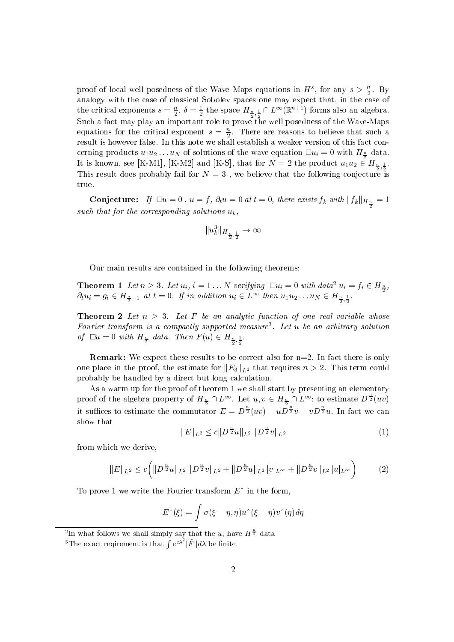proof of local well posedness of the wave maps equations in  $H^*$ , for any  $s > \frac{1}{2}$ . By analogy with the case of classical Sobolev spaces spaces on the case of case of the case of the case of the cas the critical exponents  $s = \frac{n}{2}$ ,  $\delta = \frac{1}{2}$  the space  $H_{\frac{n}{2},\frac{1}{2}} \cap L^{\infty}(\mathbb{R}^{n+1})$  forms also an algebra. Such a fact may play an important role to prove the well posedness of the WaveMaps equations for the critical exponent  $s = \frac{1}{2}$ . There are reasons to believe that such a cerning products  $u_1u_2...u_N$  of solutions of the wave equation  $\Box u_i = 0$  with  $H_{\frac{n}{2}}$  data. It is known, see [K-M1], [K-M2] and [K-S], that for  $N=2$  the product  $u_1u_2 \in H_{\frac{n}{2},\frac{1}{2}}$ . This result does probably fail for N we believe that the following conjecture is true.

**Conjecture:** If  $\Box u = 0$  ,  $u = f$ ,  $\partial_t u = 0$  at  $t = 0$ , there exists  $f_k$  with  $||f_k||_{H_{\frac{n}{2}}} = 1$ such that for the corresponding solutions uk,

$$
\|u_k^3\|_{H_{\frac{n}{2},\frac{1}{2}}}\to\infty
$$

Our main results are contained in the following theorems

**Theorem 1** Let  $n \geq 3$ . Let  $u_i$ ,  $i = 1 \dots N$  verifying  $\Box u_i = 0$  with data<sup>2</sup>  $u_i = f_i \in H_{\frac{n}{2}}$ ,  $\partial_t u_i = g_i \in H_{\frac{n}{2}-1}$  at  $t=0$ . If in addition  $u_i \in L^{\infty}$  then  $u_1 u_2 \ldots u_N \in H_{\frac{n}{2},\frac{1}{2}}$ .

**Theorem 2** Let  $n \geq 3$ . Let F be an analytic function of one real variable whose Fourier transform is <sup>a</sup> compactly supported measure Let u be an arbitrary solution of  $\Box u = 0$  with  $H_{\frac{n}{2}}$  data. Then  $F(u) \in H_{\frac{n}{2},\frac{1}{2}}$ .

Remark- We expect these results to be correct also for n- In fact there is only one place in the proof, the estimate for  $||E_3||_{L^2}$  that requires  $n > 2$ . This term could probably be handled by a direct but long calculation-

As a warm up for the proof of theorem 1 we shall start by presenting an elementary proof of the algebra property of  $H_{\frac{n}{2}}\cap L^{\infty}$ . Let  $u,v\in H_{\frac{n}{2}}\cap L^{\infty};$  to estimate  $D^{\frac{n}{2}}(uv)$ it suffices to estimate the commutator  $E = D\overline{z}(uv) - uD\overline{z}v - vD\overline{z}u$ . In fact we can show that

$$
||E||_{L^2} \le c||D^{\frac{n}{2}}u||_{L^2} ||D^{\frac{n}{2}}v||_{L^2}
$$
\n(1)

from which we derive

$$
||E||_{L^{2}} \leq c \bigg(||D^{\frac{n}{2}}u||_{L^{2}}||D^{\frac{n}{2}}v||_{L^{2}} + ||D^{\frac{n}{2}}u||_{L^{2}}|v|_{L^{\infty}} + ||D^{\frac{n}{2}}v||_{L^{2}}|u|_{L^{\infty}}\bigg) \tag{2}
$$

To prove 1 we write the Fourier transform  $E^{\dagger}$  in the form,

$$
E^{\wedge}(\xi) = \int \sigma(\xi - \eta, \eta) u^{\wedge}(\xi - \eta) v^{\wedge}(\eta) d\eta
$$

In what follows we shall simply say that the  $u_i$  have  $H^{\frac{1}{2}}$  data

<sup>&</sup>lt;sup>3</sup>The exact reqirement is that  $\int e^{c\lambda^2} |\ddot{F}| d\lambda$  be finite.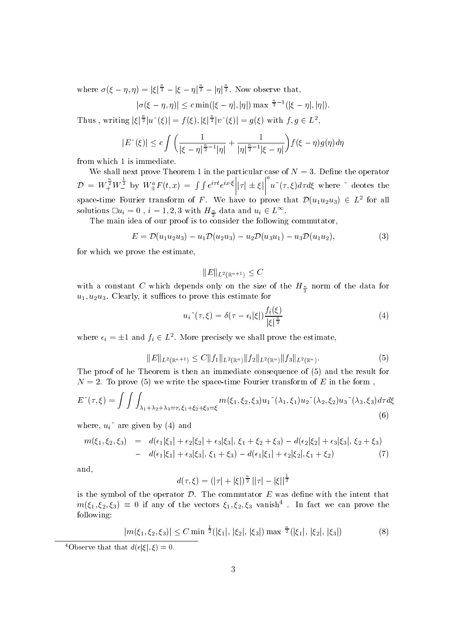where  $\sigma(\xi - \eta, \eta) = |\xi|^{\frac{\gamma}{2}} - |\xi - \eta|^{\frac{\gamma}{2}} - |\eta|^{\frac{\gamma}{2}}$ . Now observe that,

$$
|\sigma(\xi-\eta,\eta)| \leq c \min(|\xi-\eta|,|\eta|) \max \frac{\frac{n}{2}-1}{(|\xi-\eta|,|\eta|)}.
$$

Thus, writing  $|\xi|^{\frac{n}{2}}|u^{\hat{}}(\xi)| = f(\xi), |\xi|^{\frac{n}{2}}|v^{\hat{}}(\xi)| = g(\xi)$  with  $f, g \in L^2$ ,

$$
|E^{\wedge}(\xi)| \leq c \int \left( \frac{1}{|\xi - \eta|^{\frac{n}{2} - 1} |\eta|} + \frac{1}{|\eta|^{\frac{n}{2} - 1} |\xi - \eta|} \right) f(\xi - \eta) g(\eta) d\eta
$$

from which 1 is immediate.

we shall next prove Theorem I am in particular case of N  $\sim$  N  $\sim$  N  $\sim$  N  $\sim$  N  $\sim$  N  $\sim$  N  $\sim$  $\mathcal{D} = W^{\frac{1}{2}}_+ W^{\frac{1}{2}}_-$  by  $W^a_{\pm} F(t, x)$  $\left[ \begin{array}{c} \frac{1}{2} \\ - \end{array} \right]$  by  $W^a_{\pm} F(t, x) = \int \int e^{i\tau t} e^{ix \cdot \xi}$  $e \quad e \quad$   $\frac{1}{T}$   $\pm$  $\left| \left| \tau \right| \pm \xi \right|^{a} u^{*}(\tau, \xi) d\tau d\xi$  where  $\zeta$  deotes the space-time Fourier transform of F. We have to prove that  $\mathcal{D}(u_1u_2u_3) \in L^2$  for all solutions  $\square u_i = 0$  ,  $i = 1,2,3$  with  $H_{\frac{n}{2}}$  data and  $u_i \in L^{\infty}$ .

The main idea of our proof is to consider the following commutator,

$$
E = \mathcal{D}(u_1 u_2 u_3) - u_1 \mathcal{D}(u_2 u_3) - u_2 \mathcal{D}(u_3 u_1) - u_3 \mathcal{D}(u_1 u_2), \tag{3}
$$

for which we prove the estimate

$$
\|E\|_{L^2(\mathbb{R}^{n+1})} \leq C
$$

with a constant C which depends only on the size of the  $H\frac{1}{2}$  horm of the data for u uu- Clearly it suces to prove this estimate for

$$
u_i^{\sim}(\tau,\xi) = \delta(\tau - \epsilon_i|\xi|) \frac{f_i(\xi)}{|\xi|^{\frac{n}{2}}}
$$
\n(4)

where  $\epsilon_i = \pm 1$  and  $f_i \in L^2$ . More precisely we shall prove the estimate,

$$
||E||_{L^{2}(\mathbb{R}^{n+1})} \leq C||f_{1}||_{L^{2}(\mathbb{R}^{n})}||f_{2}||_{L^{2}(\mathbb{R}^{n})}||f_{3}||_{L^{2}(\mathbb{R}^{n})}.
$$
\n(5)

The proof of he Theorem is then an immediate consequence of  $(5)$  and the result for N - To prove we write the spacetime Fourier transform of E in the form

$$
E^{*}(\tau,\xi) = \int \int \int_{\lambda_{1}+\lambda_{2}+\lambda_{3}=\tau,\ \xi_{1}+\xi_{2}+\xi_{3}=\xi} m(\xi_{1},\xi_{2},\xi_{3}) u_{1}^{*}(\lambda_{1},\xi_{1}) u_{2}^{*}(\lambda_{2},\xi_{2}) u_{3}^{*}(\lambda_{3},\xi_{3}) d\tau d\xi
$$
\n(6)

where,  $u_i$ <sup> $\tilde{ }$ </sup> are given by (4) and

$$
m(\xi_1, \xi_2, \xi_3) = d(\epsilon_1|\xi_1| + \epsilon_2|\xi_2| + \epsilon_3|\xi_3|, \xi_1 + \xi_2 + \xi_3) - d(\epsilon_2|\xi_2| + \epsilon_3|\xi_3|, \xi_2 + \xi_3) - d(\epsilon_1|\xi_1| + \epsilon_3|\xi_3|, \xi_1 + \xi_3) - d(\epsilon_1|\xi_1| + \epsilon_2|\xi_2|, \xi_1 + \xi_2)
$$
(7)

and

$$
d(\tau,\xi) = (|\tau| + |\xi|)^{\frac{n}{2}} \, ||\tau| - |\xi||^{\frac{1}{2}}
$$

is the symbol of the operator D. The commutator E was define with the intent that  $m(\xi_1,\xi_2,\xi_3) \equiv 0$  if any of the vectors  $\xi_1,\xi_2,\xi_3$  vanish<sup>\*</sup>. In fact we can prove the following

$$
|m(\xi_1, \xi_2, \xi_3)| \le C \min \frac{1}{2} (|\xi_1|, |\xi_2|, |\xi_3|) \max \frac{1}{2} (|\xi_1|, |\xi_2|, |\xi_3|)
$$
 (8)

<sup>&</sup>lt;sup>4</sup>Observe that that  $d(\epsilon|\xi|, \xi) = 0$ .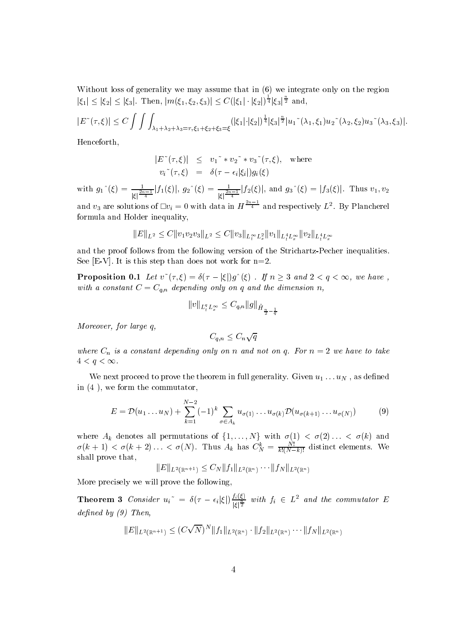Without loss of generality we may assume that in  $(6)$  we integrate only on the region  $|\xi_1| \leq |\xi_2| \leq |\xi_3|$ . Then,  $|m(\xi_1, \xi_2, \xi_3)| \leq C(|\xi_1| \cdot |\xi_2|)^{\frac{1}{4}} |\xi_3|^{\frac{1}{2}}$  and,

$$
|E^{\sim}(\tau,\xi)| \leq C \int \int \int_{\lambda_1+\lambda_2+\lambda_3=\tau,\, \xi_1+\xi_2+\xi_3=\xi} (|\xi_1|\cdot |\xi_2|)^{\frac{1}{4}} |\xi_3|^{\frac{n}{2}} |u_1^{\sim}(\lambda_1,\xi_1) u_2^{\sim}(\lambda_2,\xi_2) u_3^{\sim}(\lambda_3,\xi_3)|.
$$

Henceforth

$$
|E^{\sim}(\tau,\xi)| \leq v_1^{\sim} * v_2^{\sim} * v_3^{\sim}(\tau,\xi), \text{ where}
$$
  

$$
v_i^{\sim}(\tau,\xi) = \delta(\tau - \epsilon_i|\xi_i|)g_i(\xi)
$$

with  $g_1^{\hat{ }}(\xi) = \frac{1}{|\xi|^{\frac{2n-1}{4}}}|f_1(\xi)|, g_2^{\hat{ }}(\xi) = \frac{1}{|\xi|^{\frac{2n-1}{4}}}|f_2(\xi)|,$  and  $g_3^{\hat{ }}(\xi) = |f_3(\xi)|.$  Thus  $v_1, v_2$ and  $v_3$  are solutions of  $\Box v_i = 0$  with data in  $H^{-4}$  and respectively  $L^2$ . By Plancherel formula and Holder inequality

$$
||E||_{L^2} \leq C||v_1v_2v_3||_{L^2} \leq C||v_3||_{L_t^\infty L_x^2} ||v_1||_{L_t^4 L_x^\infty} ||v_2||_{L_t^4 L_x^\infty}
$$

and the proof follows from the following version of the Strichartz-Pecher inequalities. see it is the step than the step than  $\sim$  step than  $\sim$  step than  $\sim$ 

**Proposition 0.1** Let  $v^*(\tau,\xi) = \delta(\tau - |\xi|)g^*(\xi)$  . If  $n \geq 3$  and  $2 < q < \infty$ , we have, with a constant  $C = C_{q_1, q_2}$  are dimensional the dimension n-dimension n-dimension n-dimension n-dimension n-dimension n-dimension n-dimension n-dimension n-dimension n-dimension n-dimension n-dimension n-dimension n-di

$$
||v||_{L_t^q L_x^{\infty}} \leq C_{q,n} ||g||_{\dot{H}_{\frac{n}{2}-\frac{1}{q}}}
$$

more and in the large state of the state of the state of the state of the state of the state of the state of t

$$
C_{q,n} \leq C_n \sqrt{q}
$$

where  $\sim$   $^{10}$  is a constant depending only on  $^{10}$  and  $^{10}$  and  $^{10}$   $^{10}$   $^{10}$   $^{10}$   $^{10}$   $^{10}$   $^{10}$  $4 < q < \infty$ .

We next proceed to prove the theorem in full generality- Given u uN as dened in  $(4)$ , we form the commutator,

$$
E = \mathcal{D}(u_1 \dots u_N) + \sum_{k=1}^{N-2} (-1)^k \sum_{\sigma \in A_k} u_{\sigma(1)} \dots u_{\sigma(k)} \mathcal{D}(u_{\sigma(k+1)} \dots u_{\sigma(N)}) \tag{9}
$$

where  $A_k$  denotes all permutations of  $\{1,\ldots,N\}$  with  $\sigma(1) < \sigma(2) \ldots < \sigma(k)$  and  $\sigma(\kappa+1) < \sigma(\kappa+2) \ldots < \sigma(N)$ . Thus  $A_k$  has  $C_N^N = \frac{1}{k! (N-k)!}$  dist  $k!(N-k)!$ shall prove that

$$
||E||_{L^2(\mathbb{R}^{n+1})} \leq C_N ||f_1||_{L^2(\mathbb{R}^n)} \cdots ||f_N||_{L^2(\mathbb{R}^n)}
$$

More precisely we will prove the following

**Theorem 3** Consider  $u_i^{\dagger} = \delta(\tau - \epsilon_i|\xi|) \frac{j_i(\xi)}{|\xi|^{\frac{n}{2}}}$  with  $f_i \in L^2$  and the commutator E  $a_1$ ,  $a_2$ ,  $a_3$ ,  $a_4$ ,  $a_5$ ,  $a_7$ ,  $a_7$ ,  $a_8$ ,  $a_9$ ,  $a_1$ ,  $a_2$ ,  $a_3$ ,  $a_4$ ,  $a_5$ ,  $a_7$ ,  $a_8$ ,  $a_9$ ,  $a_1$ ,  $a_2$ ,  $a_3$ ,  $a_4$ ,  $a_5$ ,  $a_7$ ,  $a_8$ ,  $a_9$ ,  $a_1$ ,  $a_2$ ,  $a_3$ ,  $a_4$ ,  $a_5$ ,  $a_7$ ,  $a_8$ 

$$
||E||_{L^2(\mathbb{R}^{n+1})} \le (C\sqrt{N})^N ||f_1||_{L^2(\mathbb{R}^n)} \cdot ||f_2||_{L^2(\mathbb{R}^n)} \cdots ||f_N||_{L^2(\mathbb{R}^n)}
$$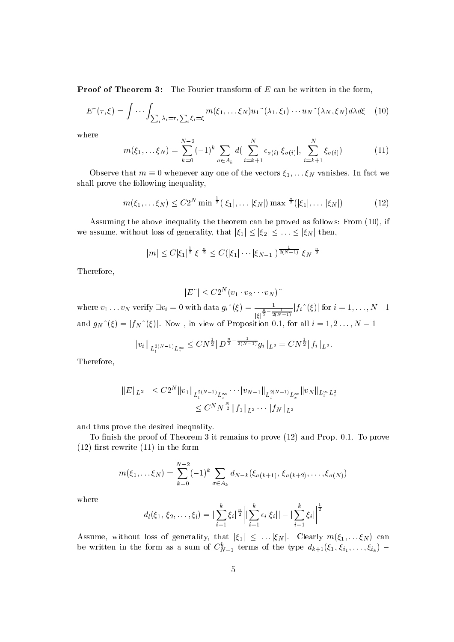Proof of Theorem - The Fourier transform of E can be written in the form

$$
E^{\sim}(\tau,\xi) = \int \cdots \int_{\sum_{i} \lambda_{i}=\tau, \sum_{i} \xi_{i}=\xi} m(\xi_{1},\ldots\xi_{N}) u_{1}^{\sim}(\lambda_{1},\xi_{1})\cdots u_{N}^{\sim}(\lambda_{N},\xi_{N}) d\lambda d\xi \quad (10)
$$

where

$$
m(\xi_1, \dots, \xi_N) = \sum_{k=0}^{N-2} (-1)^k \sum_{\sigma \in A_k} d(\sum_{i=k+1}^N \epsilon_{\sigma(i)} |\xi_{\sigma(i)}|, \sum_{i=k+1}^N \xi_{\sigma(i)})
$$
(11)

Observe that  $m \equiv 0$  whenever any one of the vectors  $\xi_1, \ldots \xi_N$  vanishes. In fact we shall prove the following inequality

$$
m(\xi_1, \dots \xi_N) \le C2^N \min \frac{1}{2}(|\xi_1|, \dots |\xi_N|) \max \frac{n}{2}(|\xi_1|, \dots |\xi_N|)
$$
 (12)

. Assuming the above inequality the theorem can be proved as follows the second  $\mathcal{A}$ we assume, without loss of generality, that  $|\xi_1| \leq |\xi_2| \leq \ldots \leq |\xi_N|$  then,

$$
|m| \leq C |\xi_1|^{\frac{1}{2}} |\xi|^{\frac{n}{2}} \leq C (|\xi_1| \cdots |\xi_{N-1}|)^{\frac{1}{2(N-1)}} |\xi_N|^{\frac{n}{2}}
$$

Therefore

$$
|E^{\sim}|\leq C2^{N}(v_{1}\cdot v_{2}\cdots v_{N})^{\sim}
$$

where  $v_1 \ldots v_N$  verify  $\Box v_i = 0$  with data  $g_i^{\hat{\ }}(\xi) = \frac{1}{|\xi|^{\frac{n}{2}-\frac{1}{2(N-1)}}} |f_i^{\hat{\ }}(\xi)|$  for  $i = 1, \ldots, N-1$ and  $g_N^{\hat{}}(\xi) = |f_N^{\hat{}}(\xi)|$ . Now, in view of Proposition 0.1, for all  $i = 1, 2, ..., N - 1$ 

$$
||v_i||_{L_t^{2(N-1)}L_x^{\infty}} \le CN^{\frac{1}{2}} ||D^{\frac{n}{2}-\frac{1}{2(N-1)}}g_i||_{L^2} = CN^{\frac{1}{2}} ||f_i||_{L^2}.
$$
 Therefore,

$$
||E||_{L^{2}} \leq C2^{N} ||v_{1}||_{L_{t}^{2(N-1)}L_{x}^{\infty}} \cdots ||v_{N-1}||_{L_{t}^{2(N-1)}L_{x}^{\infty}} ||v_{N}||_{L_{t}^{\infty}L_{x}^{2}
$$
  

$$
\leq C^{N}N^{\frac{N}{2}} ||f_{1}||_{L^{2}} \cdots ||f_{N}||_{L^{2}}
$$

and thus prove the desired inequality-

To nish the proof of Theorem it remains to prove and Prop- - - To prove  $(12)$  first rewrite  $(11)$  in the form

$$
m(\xi_1,\ldots \xi_N)=\sum_{k=0}^{N-2}(-1)^k\sum_{\sigma\in A_k}d_{N-k}(\xi_{\sigma(k+1)},\,\xi_{\sigma(k+2)},\ldots,\xi_{\sigma(N)})
$$

where

$$
d_l(\xi_1,\,\xi_2,\ldots,\xi_l)=|\sum_{i=1}^k\xi_i|^\frac{n}{2}\Big|\big|\sum_{i=1}^k\epsilon_i|\xi_i|\big|-\big|\sum_{i=1}^k\xi_i\big|\Big|^\frac{1}{2}
$$

Assume, without loss of generality, that  $|\xi_1| \leq ... |\xi_N|$ . Clearly  $m(\xi_1,...\xi_N)$  can be written in the form as a sum of  $C_{N-1}$  terms of the type  $a_{k+1}(\zeta_1,\zeta_{i_1},\ldots,\zeta_{i_k})$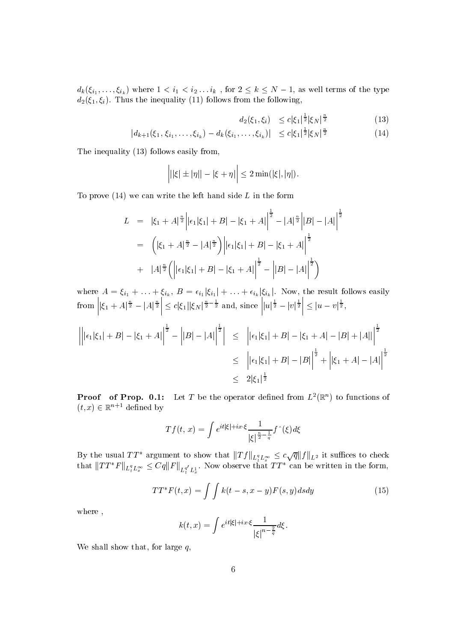$d_k(\xi_{i_1},\ldots,\xi_{i_k})$  where  $1 < i_1 < i_2 \ldots i_k$  , for  $2 \leq k \leq N-1$ , as well terms of the type  $\alpha$  is the internal following from the following  $\alpha$  in the following from the following  $\alpha$ 

$$
d_2(\xi_1, \xi_i) \le c |\xi_1|^{\frac{1}{2}} |\xi_N|^{\frac{\alpha}{2}} \tag{13}
$$

$$
|d_{k+1}(\xi_1, \xi_{i_1}, \dots, \xi_{i_k}) - d_k(\xi_{i_1}, \dots, \xi_{i_k})| \leq c |\xi_1|^{\frac{1}{2}} |\xi_N|^{\frac{n}{2}}
$$
(14)

The inequality  $(13)$  follows easily from,

$$
|||\xi| \pm |\eta|| - |\xi + \eta|| \leq 2 \min(|\xi|, |\eta|).
$$

To prove  $(14)$  we can write the left hand side L in the form

$$
L = |\xi_1 + A|^{\frac{n}{2}} \Big| |\epsilon_1 |\xi_1| + B| - |\xi_1 + A| \Big|^{\frac{1}{2}} - |A|^{\frac{n}{2}} \Big| |B| - |A| \Big|^{\frac{1}{2}}
$$
  

$$
= \Big( |\xi_1 + A|^{\frac{n}{2}} - |A|^{\frac{n}{2}} \Big) \Big| |\epsilon_1 |\xi_1| + B| - |\xi_1 + A| \Big|^{\frac{1}{2}}
$$
  

$$
+ |A|^{\frac{n}{2}} \Big( \Big| |\epsilon_1 |\xi_1| + B| - |\xi_1 + A| \Big|^{\frac{1}{2}} - \Big| |B| - |A| \Big|^{\frac{1}{2}} \Big)
$$

where  $A = \xi_{i_1} + \ldots + \xi_{i_k}, B = \epsilon_{i_1} |\xi_{i_1}| + \ldots + \epsilon_{i_k} |\xi_{i_k}|$ . Now, the result follows easily from the contract of the contract of the contract of the contract of the contract of the contract of the contract of the contract of the contract of the contract of the contract of the contract of the contract of the contr  $\left| |\xi_1 + A|^{\frac{n}{2}} - |A|^{\frac{n}{2}} \right| \leq c |\xi|$  $\leq c |\xi_1| |\xi_N|^{\frac{n}{2} - \frac{1}{2}}$  and, since  $||u|^{\frac{1}{2}}$  –  $||u|^{\frac{1}{2}} - |v|^{\frac{1}{2}} \leq |u|$  $\leq |u - v|^{\frac{1}{2}},$ 

$$
\left| \left| \left| \epsilon_{1} \right| \xi_{1} \right| + B \right| - \left| \xi_{1} + A \right| \right|^{2} - \left| |B| - |A| \right|^{2} \leq \left| \left| \epsilon_{1} \right| \xi_{1} + B \right| - \left| \xi_{1} + A \right| - |B| + |A| \right|^{2}
$$
  
\n
$$
\leq \left| \left| \epsilon_{1} \right| \xi_{1} + B \right| - |B| \right|^{2} + \left| \left| \xi_{1} + A \right| - |A| \right|^{2}
$$
  
\n
$$
\leq 2 \left| \xi_{1} \right|^{2} \leq 2 \left| \xi_{1} \right|^{2}
$$

**Proof** of Prop. 0.1: Let T be the operator defined from  $L^2(\mathbb{R}^n)$  to functions of  $(t, x) \in \mathbb{R}^{n+1}$  defined by

$$
Tf(t, x) = \int e^{it|\xi|+ix\cdot\xi} \frac{1}{|\xi|^{\frac{n}{2}-\frac{1}{q}}} f^{\hat{ }}\left( \xi \right) d\xi
$$

By the usual  $TT^*$  argument to show that  $\|Tf\|_{L^q_tL^\infty_x} \leq c\sqrt{q} \|f\|_{L^2}$  it suffices to check that  $||TT^*F||_{L_t^q L_x^{\infty}} \leq Cq||F||_{L_t^{q'} L_x^1}$ . Now observe that  $TT^*$  can be written in the form,

$$
TT^*F(t,x) = \int \int k(t-s,x-y)F(s,y)dsdy
$$
 (15)

where,

$$
k(t,x) = \int e^{it|\xi|+ix\cdot\xi} \frac{1}{|\xi|^{n-\frac{2}{q}}} d\xi.
$$

We shall show that, for large  $q$ ,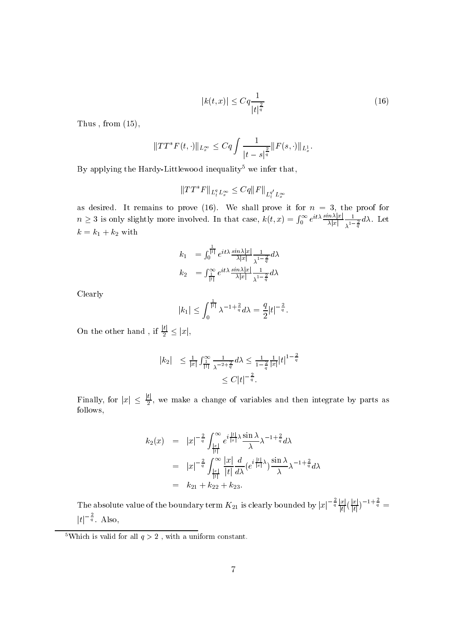$$
|k(t, x)| \le Cq \frac{1}{|t|^{\frac{2}{q}}} \tag{16}
$$

Thus, from  $(15)$ ,

$$
||TT^*F(t,\cdot)||_{L_x^{\infty}} \leq Cq \int \frac{1}{|t-s|^{\frac{2}{q}}} ||F(s,\cdot)||_{L_x^1}.
$$

By applying the Hardy-Littlewood inequality<sup>5</sup> we infer that,

$$
\|TT^*F\|_{L_t^qL_x^\infty}\leq Cq\|F\|_{L_t^{q'}L_x^\infty}
$$

as desired-by the prove it for n  $\mathbb{P}$  remains to prove it for n  $\mathbb{P}$  . The prove it for n  $\mathbb{P}$  $n \geq 3$  is only slightly more involved. In that case,  $k(t, x) = \int_0^\infty e^{it\lambda} \frac{\sin \lambda |x|}{\lambda |x|} \frac{1}{\lambda |x|}$  $\mathbf{y}$  is a set of  $\mathbf{y}$  $\sim$   $\sim$   $\sim$  $\lambda^{1-\frac{2}{q}}$  $k = k_1 + k_2$  with

$$
k_1 = \int_0^{\frac{1}{|t|}} e^{it\lambda} \frac{\sin \lambda |x|}{\lambda |x|} \frac{1}{\lambda^{1-\frac{2}{q}}} d\lambda
$$
  

$$
k_2 = \int_{\frac{1}{|t|}}^{\infty} e^{it\lambda} \frac{\sin \lambda |x|}{\lambda |x|} \frac{1}{\lambda^{1-\frac{2}{q}}} d\lambda
$$

Clearly

$$
|k_1| \leq \int_0^{\frac{1}{|t|}} \lambda^{-1+\frac{2}{q}} d\lambda = \frac{q}{2} |t|^{-\frac{2}{q}}.
$$

On the other hand, if  $\frac{16}{2} \leq |x|$ ,

$$
|k_2| \le \frac{1}{|x|} \int_{\frac{1}{|t|}}^{\infty} \frac{1}{\lambda^{-2 + \frac{2}{q}}} d\lambda \le \frac{1}{1 - \frac{2}{q}} \frac{1}{|x|} |t|^{1 - \frac{2}{q}}
$$
  

$$
\le C |t|^{-\frac{2}{q}}.
$$

Finally, for  $|x| \leq \frac{1}{2}$ , we make a change of variables and then integrate by parts as follows

$$
k_2(x) = |x|^{-\frac{2}{q}} \int_{\frac{|x|}{|t|}}^{\infty} e^{i\frac{|t|}{|x|}\lambda} \frac{\sin \lambda}{\lambda} \lambda^{-1+\frac{2}{q}} d\lambda
$$
  

$$
= |x|^{-\frac{2}{q}} \int_{\frac{|x|}{|t|}}^{\infty} \frac{|x|}{|t|} \frac{d}{d\lambda} (e^{i\frac{|t|}{|x|}\lambda}) \frac{\sin \lambda}{\lambda} \lambda^{-1+\frac{2}{q}} d\lambda
$$
  

$$
= k_{21} + k_{22} + k_{23}.
$$

The absolute value of the boundary term  $K_{21}$  is clearly bounded by  $|x|^{-\frac{1}{q}}\frac{|x|}{|t|}(\frac{|x|}{|t|})^{-1+\frac{1}{q}}=$  $|t|^{-\frac{1}{q}}$ . Also,

 ${}^5\text{Which}$  is valid for all  $q>2$  , with a uniform constant.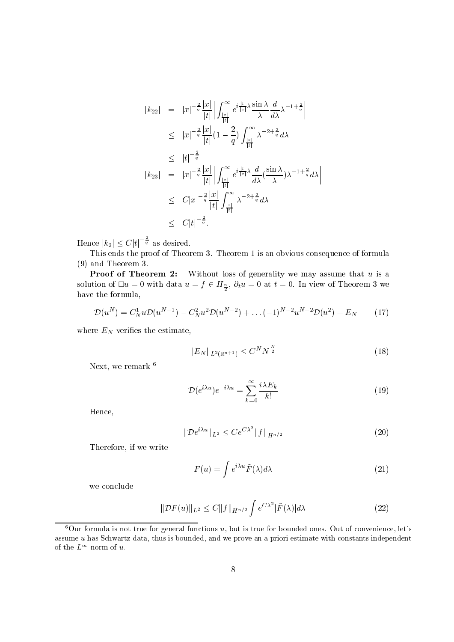$$
|k_{22}| = |x|^{-\frac{2}{q}} \frac{|x|}{|t|} \left| \int_{\frac{|x|}{|t|}}^{\infty} e^{i\frac{|t|}{|x|}} \lambda \frac{\sin \lambda}{\lambda} \frac{d}{d\lambda} \lambda^{-1+\frac{2}{q}} \right|
$$
  
\n
$$
\leq |x|^{-\frac{2}{q}} \frac{|x|}{|t|} (1 - \frac{2}{q}) \int_{\frac{|x|}{|t|}}^{\infty} \lambda^{-2+\frac{2}{q}} d\lambda
$$
  
\n
$$
\leq |t|^{-\frac{2}{q}}
$$
  
\n
$$
|k_{23}| = |x|^{-\frac{2}{q}} \frac{|x|}{|t|} \left| \int_{\frac{|x|}{|t|}}^{\infty} e^{i\frac{|t|}{|x|}} \lambda \frac{d}{d\lambda} (\frac{\sin \lambda}{\lambda}) \lambda^{-1+\frac{2}{q}} d\lambda \right|
$$
  
\n
$$
\leq C|x|^{-\frac{2}{q}} \frac{|x|}{|t|} \int_{\frac{|x|}{|t|}}^{\infty} \lambda^{-2+\frac{2}{q}} d\lambda
$$
  
\n
$$
\leq C|t|^{-\frac{2}{q}}.
$$

Hence  $|k_2| \leq C |t|^{-\frac{1}{q}}$  as desired.

This ends the proof of Theorem - This ends the proof of the proof of the proof of formulas consequence of formulas  $(9)$  and Theorem 3.

Proof of Theorem - Without loss of generality we may assume that u is a solution of  $\Box u = 0$  with data  $u = f \in H_{\frac{n}{2}}$ ,  $\partial_t u = 0$  at  $t = 0$ . In view of Theorem 3 we have the formula

$$
\mathcal{D}(u^N) = C_N^1 u \mathcal{D}(u^{N-1}) - C_N^2 u^2 \mathcal{D}(u^{N-2}) + \dots (-1)^{N-2} u^{N-2} \mathcal{D}(u^2) + E_N \tag{17}
$$

where  $E_N$  verifies the estimate,

$$
||E_N||_{L^2(\mathbb{R}^{n+1})} \le C^N N^{\frac{N}{2}} \tag{18}
$$

Next, we remark  $^6$ 

$$
\mathcal{D}(e^{i\lambda u})e^{-i\lambda u} = \sum_{k=0}^{\infty} \frac{i\lambda E_k}{k!}
$$
 (19)

Hence

$$
\|\mathcal{D}e^{i\lambda u}\|_{L^2} \le Ce^{C\lambda^2} \|f\|_{H^{n/2}} \tag{20}
$$

Therefore, if we write

$$
F(u) = \int e^{i\lambda u} \tilde{F}(\lambda) d\lambda \tag{21}
$$

we conclude

$$
\|\mathcal{D}F(u)\|_{L^2} \le C\|f\|_{H^{n/2}} \int e^{C\lambda^2} |\tilde{F}(\lambda)| d\lambda \tag{22}
$$

Uur formula is not true for general functions  $u$ , but is true for bounded ones. Out of convenience, let  $s$ assume  $u$  has Schwartz data, thus is bounded, and we prove an a priori estimate with constants independent of the  $L^{\sim}$  norm of  $u$ .